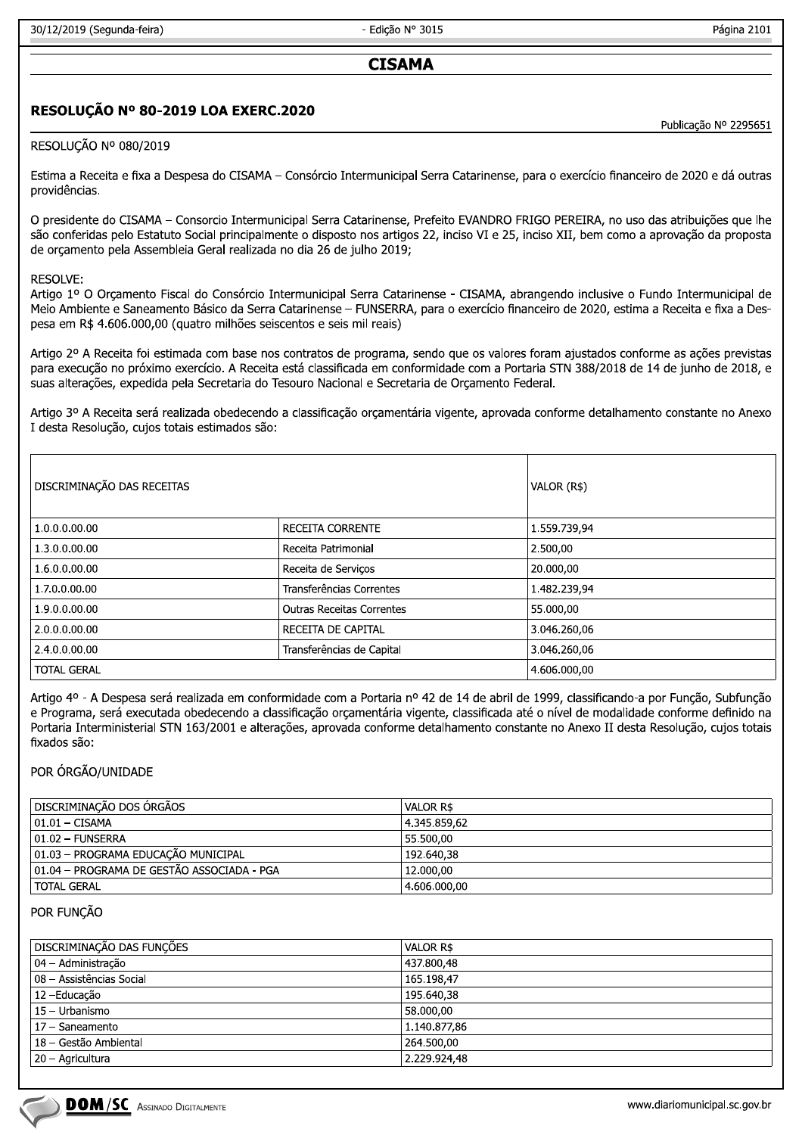- Edicão Nº 3015

Página 2101

# **CISAMA**

# RESOLUÇÃO Nº 80-2019 LOA EXERC.2020

Publicação Nº 2295651

## RESOLUÇÃO Nº 080/2019

Estima a Receita e fixa a Despesa do CISAMA - Consórcio Intermunicipal Serra Catarinense, para o exercício financeiro de 2020 e dá outras providências.

O presidente do CISAMA - Consorcio Intermunicipal Serra Catarinense, Prefeito EVANDRO FRIGO PEREIRA, no uso das atribuições que lhe são conferidas pelo Estatuto Social principalmente o disposto nos artigos 22, inciso VI e 25, inciso XII, bem como a aprovação da proposta de orcamento pela Assembleia Geral realizada no dia 26 de julho 2019;

#### **RESOLVE:**

Artigo 1º O Orçamento Fiscal do Consórcio Intermunicipal Serra Catarinense - CISAMA, abrangendo inclusive o Fundo Intermunicipal de Meio Ambiente e Saneamento Básico da Serra Catarinense - FUNSERRA, para o exercício financeiro de 2020, estima a Receita e fixa a Despesa em R\$ 4.606.000,00 (quatro milhões seiscentos e seis mil reais)

Artigo 2º A Receita foi estimada com base nos contratos de programa, sendo que os valores foram ajustados conforme as ações previstas para execução no próximo exercício. A Receita está classificada em conformidade com a Portaria STN 388/2018 de 14 de junho de 2018, e suas alterações, expedida pela Secretaria do Tesouro Nacional e Secretaria de Orcamento Federal.

Artigo 3º A Receita será realizada obedecendo a classificação orçamentária vigente, aprovada conforme detalhamento constante no Anexo I desta Resolução, cujos totais estimados são:

| DISCRIMINAÇÃO DAS RECEITAS | VALOR (R\$)                      |              |
|----------------------------|----------------------------------|--------------|
| 1.0.0.0.00.00              | RECEITA CORRENTE                 | 1.559.739,94 |
| 1.3.0.0.00.00              | l Receita Patrimonial            | 2.500,00     |
| 1.6.0.0.00.00              | Receita de Serviços              | 20.000,00    |
| 1.7.0.0.00.00              | Transferências Correntes         | 1.482.239,94 |
| 1.9.0.0.00.00              | <b>Outras Receitas Correntes</b> | 55.000,00    |
| 2.0.0.0.00.00              | l RECEITA DE CAPITAL             | 3.046.260,06 |
| 2.4.0.0.00.00              | Transferências de Capital        | 3.046.260,06 |
| <b>TOTAL GERAL</b>         |                                  | 4.606.000,00 |

Artigo 4º - A Despesa será realizada em conformidade com a Portaria nº 42 de 14 de abril de 1999, classificando-a por Função, Subfunção e Programa, será executada obedecendo a classificação orçamentária vigente, classificada até o nível de modalidade conforme definido na Portaria Interministerial STN 163/2001 e alterações, aprovada conforme detalhamento constante no Anexo II desta Resolução, cujos totais fixados são:

#### POR ÓRGÃO/UNIDADE

| DISCRIMINAÇÃO DOS ÓRGÃOS                   | VALOR R\$    |
|--------------------------------------------|--------------|
| $ 01.01 - CISAMA$                          | 4.345.859.62 |
| $ 01.02 -$ FUNSERRA                        | 55.500.00    |
| 01.03 - PROGRAMA EDUCAÇÃO MUNICIPAL        | 192.640.38   |
| 01.04 - PROGRAMA DE GESTÃO ASSOCIADA - PGA | 12.000.00    |
| TOTAL GERAL                                | 4.606.000,00 |

#### POR FUNCÃO

| DISCRIMINAÇÃO DAS FUNÇÕES | VALOR R\$    |
|---------------------------|--------------|
| 04 – Administração        | 437.800,48   |
| 08 - Assistências Social  | 165.198,47   |
| 12 – Educação             | 195.640,38   |
| 15 - Urbanismo            | 58.000.00    |
| 17 - Saneamento           | 1.140.877,86 |
| 18 - Gestão Ambiental     | 264.500,00   |
| 20 - Agricultura          | 2.229.924,48 |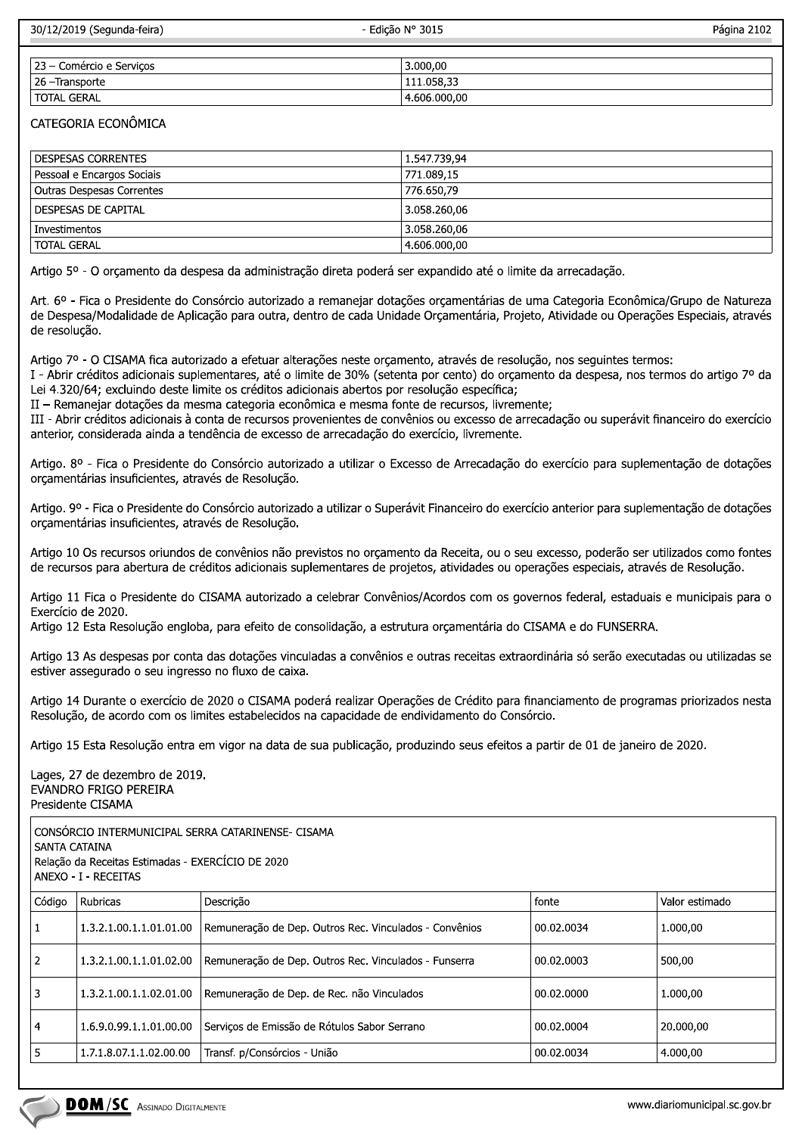| 30/12/2019 (Segunda-feira)<br>- Edicão N° 3015 |            | Página 2102 |
|------------------------------------------------|------------|-------------|
| 23 – Comércio e Serviços                       | 3.000.00   |             |
| 26 –Transporte                                 | 111.058,33 |             |
|                                                |            |             |

### CATEGORIA ECONÔMICA

| <b>DESPESAS CORRENTES</b>        | 1.547.739,94 |
|----------------------------------|--------------|
| Pessoal e Encargos Sociais       | 771.089,15   |
| <b>Outras Despesas Correntes</b> | 776.650,79   |
| DESPESAS DE CAPITAL              | 3.058.260.06 |
| Investimentos                    | 3.058.260,06 |
| <b>TOTAL GERAL</b>               | 4.606.000,00 |

Artigo 5º - O orçamento da despesa da administração direta poderá ser expandido até o limite da arrecadação.

Art. 6º - Fica o Presidente do Consórcio autorizado a remanejar dotações orçamentárias de uma Categoria Econômica/Grupo de Natureza de Despesa/Modalidade de Aplicação para outra, dentro de cada Unidade Orçamentária, Projeto, Atividade ou Operações Especiais, através de resolução.

Artigo 7º - O CISAMA fica autorizado a efetuar alterações neste orcamento, através de resolução, nos sequintes termos:

I - Abrir créditos adicionais suplementares, até o limite de 30% (setenta por cento) do orcamento da despesa, nos termos do artigo 7º da Lei 4.320/64; excluindo deste limite os créditos adicionais abertos por resolução específica;

II - Remanejar dotações da mesma categoria econômica e mesma fonte de recursos, livremente;

 $J$ OJAL GERAL  $\frac{4.606.000}{100}$ 

III - Abrir créditos adicionais à conta de recursos provenientes de convênios ou excesso de arrecadação ou superávit financeiro do exercício anterior, considerada ainda a tendência de excesso de arrecadação do exercício, livremente.

Artigo. 8º - Fica o Presidente do Consórcio autorizado a utilizar o Excesso de Arrecadação do exercício para suplementação de dotações orçamentárias insuficientes, através de Resolução.

Artigo. 9º - Fica o Presidente do Consórcio autorizado a utilizar o Superávit Financeiro do exercício anterior para suplementação de dotações orçamentárias insuficientes, através de Resolução.

Artigo 10 Os recursos oriundos de convênios não previstos no orcamento da Receita, ou o seu excesso, poderão ser utilizados como fontes de recursos para abertura de créditos adicionais suplementares de projetos, atividades ou operações especiais, através de Resolução.

Artigo 11 Fica o Presidente do CISAMA autorizado a celebrar Convênios/Acordos com os governos federal, estaduais e municipais para o Exercício de 2020.

Artigo 12 Esta Resolução engloba, para efeito de consolidação, a estrutura orçamentária do CISAMA e do FUNSERRA.

Artigo 13 As despesas por conta das dotações vinculadas a convênios e outras receitas extraordinária só serão executadas ou utilizadas se estiver assegurado o seu ingresso no fluxo de caixa.

Artigo 14 Durante o exercício de 2020 o CISAMA poderá realizar Operações de Crédito para financiamento de programas priorizados nesta Resolução, de acordo com os limites estabelecidos na capacidade de endividamento do Consórcio.

Artigo 15 Esta Resolução entra em vigor na data de sua publicação, produzindo seus efeitos a partir de 01 de janeiro de 2020.

Lages, 27 de dezembro de 2019. EVANDRO FRIGO PEREIRA Presidente CISAMA

CONSÓRCIO INTERMUNICIPAL SERRA CATARINENSE- CISAMA SANTA CATAINA Relação da Receitas Estimadas - EXERCÍCIO DE 2020 ANEXO - I - RECEITAS

| Código         | Rubricas                               | Descrição                                              | fonte      | Valor estimado                |
|----------------|----------------------------------------|--------------------------------------------------------|------------|-------------------------------|
| 1              | 1.3.2.1.00.1.1.01.01.00                | Remuneração de Dep. Outros Rec. Vinculados - Convênios | 00.02.0034 | 1.000,00                      |
| $\overline{2}$ | 1.3.2.1.00.1.1.01.02.00                | Remuneração de Dep. Outros Rec. Vinculados - Funserra  | 00.02.0003 | 500,00                        |
| 3              | 1.3.2.1.00.1.1.02.01.00                | Remuneração de Dep. de Rec. não Vinculados             | 00.02.0000 | 1.000,00                      |
| 4              | 1.6.9.0.99.1.1.01.00.00                | Serviços de Emissão de Rótulos Sabor Serrano           | 00.02.0004 | 20.000,00                     |
| 5              | 1.7.1.8.07.1.1.02.00.00                | Transf. p/Consórcios - União                           | 00.02.0034 | 4.000,00                      |
|                |                                        |                                                        |            |                               |
|                | DOM/SC<br><b>ASSINADO DIGITALMENTE</b> |                                                        |            | www.diariomunicipal.sc.gov.br |
|                |                                        |                                                        |            |                               |
|                |                                        |                                                        |            |                               |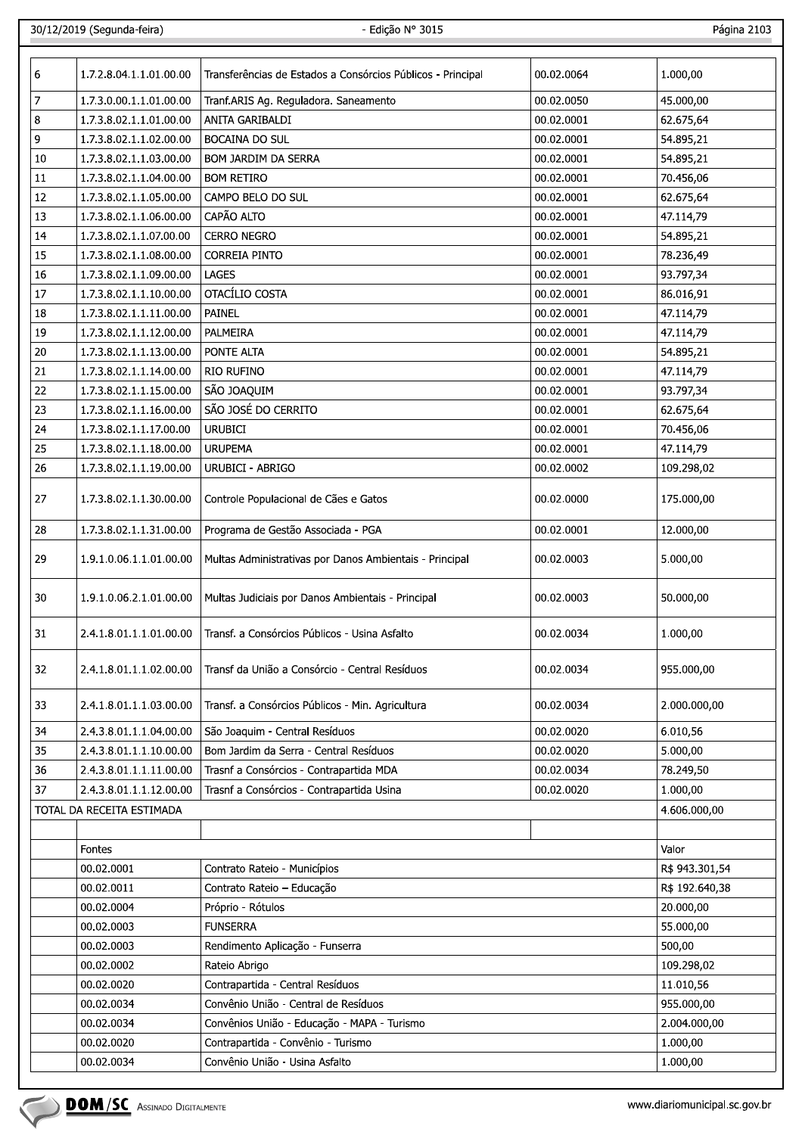30/12/2019 (Segu

Página 2103

| 6              | 1.7.2.8.04.1.1.01.00.00   | Transferências de Estados a Consórcios Públicos - Principal | 00.02.0064 | 1.000,00       |
|----------------|---------------------------|-------------------------------------------------------------|------------|----------------|
| $\overline{z}$ | 1.7.3.0.00.1.1.01.00.00   | Tranf.ARIS Ag. Reguladora. Saneamento                       | 00.02.0050 | 45.000,00      |
| 8              | 1.7.3.8.02.1.1.01.00.00   | ANITA GARIBALDI                                             | 00.02.0001 | 62.675,64      |
| 9              | 1.7.3.8.02.1.1.02.00.00   | <b>BOCAINA DO SUL</b>                                       | 00.02.0001 | 54.895,21      |
| 10             | 1.7.3.8.02.1.1.03.00.00   | BOM JARDIM DA SERRA                                         | 00.02.0001 | 54.895,21      |
| 11             | 1.7.3.8.02.1.1.04.00.00   | <b>BOM RETIRO</b>                                           | 00.02.0001 | 70.456,06      |
| 12             | 1.7.3.8.02.1.1.05.00.00   | CAMPO BELO DO SUL                                           | 00.02.0001 | 62.675,64      |
| 13             | 1.7.3.8.02.1.1.06.00.00   | CAPÃO ALTO                                                  | 00.02.0001 | 47.114,79      |
| 14             | 1.7.3.8.02.1.1.07.00.00   | <b>CERRO NEGRO</b>                                          | 00.02.0001 | 54.895,21      |
| 15             | 1.7.3.8.02.1.1.08.00.00   | <b>CORREIA PINTO</b>                                        | 00.02.0001 | 78.236,49      |
| 16             | 1.7.3.8.02.1.1.09.00.00   | LAGES                                                       | 00.02.0001 | 93.797,34      |
| 17             | 1.7.3.8.02.1.1.10.00.00   | OTACÍLIO COSTA                                              | 00.02.0001 | 86.016,91      |
|                |                           | PAINEL                                                      |            |                |
| 18             | 1.7.3.8.02.1.1.11.00.00   |                                                             | 00.02.0001 | 47.114,79      |
| 19             | 1.7.3.8.02.1.1.12.00.00   | PALMEIRA                                                    | 00.02.0001 | 47.114,79      |
| 20             | 1.7.3.8.02.1.1.13.00.00   | PONTE ALTA                                                  | 00.02.0001 | 54.895,21      |
| 21             | 1.7.3.8.02.1.1.14.00.00   | <b>RIO RUFINO</b>                                           | 00.02.0001 | 47.114,79      |
| 22             | 1.7.3.8.02.1.1.15.00.00   | SÃO JOAQUIM                                                 | 00.02.0001 | 93.797,34      |
| 23             | 1.7.3.8.02.1.1.16.00.00   | SÃO JOSÉ DO CERRITO                                         | 00.02.0001 | 62.675,64      |
| 24             | 1.7.3.8.02.1.1.17.00.00   | <b>URUBICI</b>                                              | 00.02.0001 | 70.456,06      |
| 25             | 1.7.3.8.02.1.1.18.00.00   | <b>URUPEMA</b>                                              | 00.02.0001 | 47.114,79      |
| 26             | 1.7.3.8.02.1.1.19.00.00   | <b>URUBICI - ABRIGO</b>                                     | 00.02.0002 | 109.298,02     |
| 27             | 1.7.3.8.02.1.1.30.00.00   | Controle Populacional de Cães e Gatos                       | 00.02.0000 | 175.000,00     |
| 28             | 1.7.3.8.02.1.1.31.00.00   | Programa de Gestão Associada - PGA                          | 00.02.0001 | 12.000,00      |
| 29             | 1.9.1.0.06.1.1.01.00.00   | Multas Administrativas por Danos Ambientais - Principal     | 00.02.0003 | 5.000,00       |
| 30             | 1.9.1.0.06.2.1.01.00.00   | Multas Judiciais por Danos Ambientais - Principal           | 00.02.0003 | 50.000,00      |
| 31             | 2.4.1.8.01.1.1.01.00.00   | Transf. a Consórcios Públicos - Usina Asfalto               | 00.02.0034 | 1.000,00       |
| 32             | 2.4.1.8.01.1.1.02.00.00   | Transf da União a Consórcio - Central Resíduos              | 00.02.0034 | 955.000,00     |
| 33             | 2.4.1.8.01.1.1.03.00.00   | Transf. a Consórcios Públicos - Min. Agricultura            | 00.02.0034 | 2.000.000,00   |
| 34             | 2.4.3.8.01.1.1.04.00.00   | São Joaquim - Central Resíduos                              | 00.02.0020 | 6.010,56       |
| 35             | 2.4.3.8.01.1.1.10.00.00   | Bom Jardim da Serra - Central Resíduos                      | 00.02.0020 | 5.000,00       |
| 36             | 2.4.3.8.01.1.1.11.00.00   | Trasnf a Consórcios - Contrapartida MDA                     | 00.02.0034 | 78.249,50      |
| 37             | 2.4.3.8.01.1.1.12.00.00   | Trasnf a Consórcios - Contrapartida Usina                   | 00.02.0020 | 1.000,00       |
|                | TOTAL DA RECEITA ESTIMADA |                                                             |            | 4.606.000,00   |
|                | <b>Fontes</b>             |                                                             |            | Valor          |
|                | 00.02.0001                | Contrato Rateio - Municípios                                |            | R\$ 943.301,54 |
|                | 00.02.0011                | Contrato Rateio - Educação                                  |            | R\$ 192.640,38 |
|                | 00.02.0004                | Próprio - Rótulos                                           |            | 20.000,00      |
|                | 00.02.0003                | <b>FUNSERRA</b>                                             |            | 55.000,00      |
|                | 00.02.0003                | Rendimento Aplicação - Funserra                             |            | 500,00         |
|                | 00.02.0002                | Rateio Abrigo                                               |            | 109.298,02     |
|                | 00.02.0020                | Contrapartida - Central Resíduos                            |            | 11.010,56      |
|                | 00.02.0034                | Convênio União - Central de Resíduos                        |            | 955.000,00     |
|                |                           | Convênios União - Educação - MAPA - Turismo                 |            |                |
|                | 00.02.0034                |                                                             |            | 2.004.000,00   |
|                | 00.02.0020                | Contrapartida - Convênio - Turismo                          |            | 1.000,00       |
|                | 00.02.0034                | Convênio União - Usina Asfalto                              |            | 1.000,00       |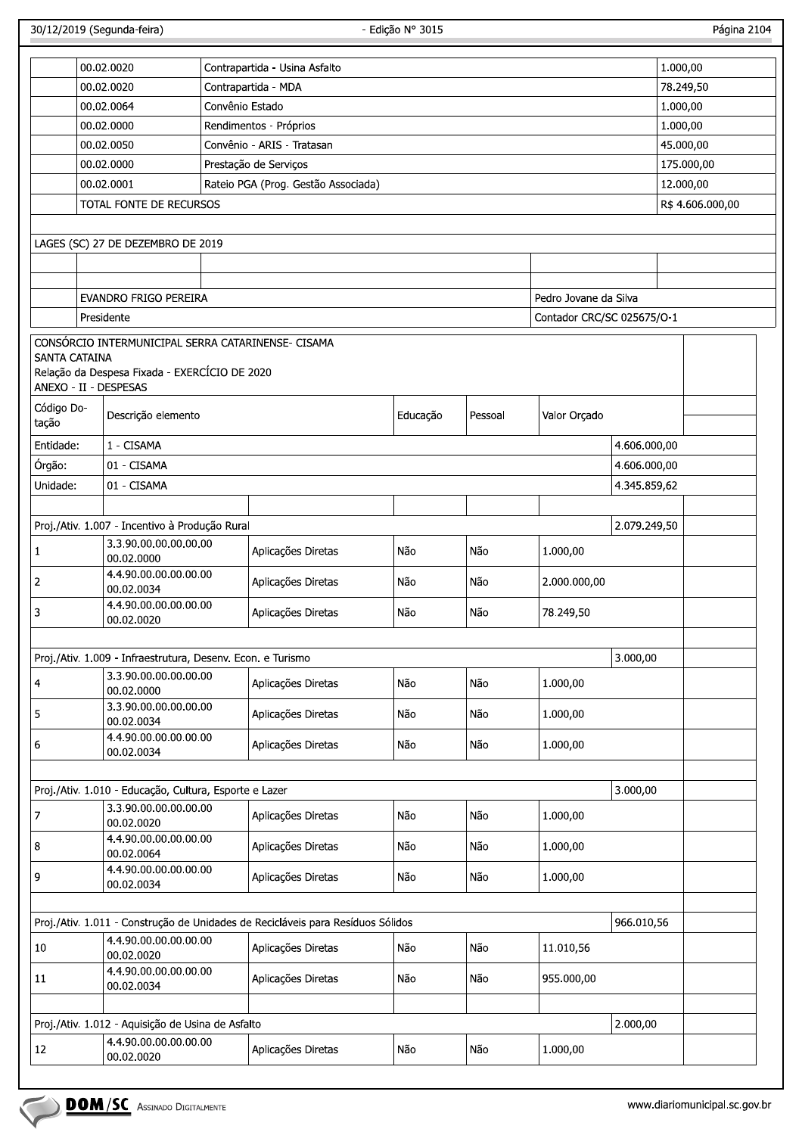Página 2104

|                      | 00.02.0020                                                                 | Contrapartida - Usina Asfalto                                                   |                                     |         |                            |              | 1.000,00              |  |
|----------------------|----------------------------------------------------------------------------|---------------------------------------------------------------------------------|-------------------------------------|---------|----------------------------|--------------|-----------------------|--|
|                      | 00.02.0020                                                                 | Contrapartida - MDA                                                             |                                     |         |                            |              |                       |  |
|                      | 00.02.0064                                                                 | Convênio Estado                                                                 |                                     |         |                            |              | 78.249,50<br>1.000,00 |  |
|                      | 00.02.0000                                                                 | Rendimentos - Próprios                                                          |                                     |         |                            |              |                       |  |
|                      | 00.02.0050                                                                 | Convênio - ARIS - Tratasan                                                      |                                     |         |                            |              | 45.000,00             |  |
|                      | 00.02.0000                                                                 | Prestação de Serviços                                                           |                                     |         |                            |              |                       |  |
|                      | 00.02.0001                                                                 |                                                                                 | Rateio PGA (Prog. Gestão Associada) |         |                            |              |                       |  |
|                      | TOTAL FONTE DE RECURSOS                                                    |                                                                                 |                                     |         |                            |              |                       |  |
|                      |                                                                            |                                                                                 |                                     |         |                            |              |                       |  |
|                      | LAGES (SC) 27 DE DEZEMBRO DE 2019                                          |                                                                                 |                                     |         |                            |              |                       |  |
|                      |                                                                            |                                                                                 |                                     |         |                            |              |                       |  |
|                      | EVANDRO FRIGO PEREIRA                                                      |                                                                                 |                                     |         | Pedro Jovane da Silva      |              |                       |  |
|                      | Presidente                                                                 |                                                                                 |                                     |         | Contador CRC/SC 025675/O-1 |              |                       |  |
|                      |                                                                            | CONSÓRCIO INTERMUNICIPAL SERRA CATARINENSE- CISAMA                              |                                     |         |                            |              |                       |  |
| <b>SANTA CATAINA</b> | Relação da Despesa Fixada - EXERCÍCIO DE 2020                              |                                                                                 |                                     |         |                            |              |                       |  |
|                      | ANEXO - II - DESPESAS                                                      |                                                                                 |                                     |         |                            |              |                       |  |
| Código Do-           |                                                                            |                                                                                 |                                     |         |                            |              |                       |  |
| tação                | Descrição elemento                                                         |                                                                                 | Educação                            | Pessoal | Valor Orçado               |              |                       |  |
| Entidade:            | 1 - CISAMA                                                                 |                                                                                 |                                     |         |                            | 4.606.000,00 |                       |  |
| Órgão:               | 01 - CISAMA                                                                |                                                                                 |                                     |         |                            | 4.606.000,00 |                       |  |
| Unidade:             | 01 - CISAMA                                                                |                                                                                 |                                     |         |                            | 4.345.859,62 |                       |  |
|                      |                                                                            |                                                                                 |                                     |         |                            |              |                       |  |
|                      | Proj./Ativ. 1.007 - Incentivo à Produção Rural                             |                                                                                 |                                     |         |                            | 2.079.249,50 |                       |  |
| 1                    | 3.3.90.00.00.00.00.00                                                      | Aplicações Diretas                                                              | Não                                 | Não     | 1.000,00                   |              |                       |  |
|                      | 00.02.0000<br>4.4.90.00.00.00.00.00                                        |                                                                                 |                                     |         |                            |              |                       |  |
| 2                    | 00.02.0034                                                                 | Aplicações Diretas                                                              | Não                                 | Não     | 2.000.000,00               |              |                       |  |
| 3                    | 4.4.90.00.00.00.00.00<br>00.02.0020                                        | Aplicações Diretas                                                              | Não                                 | Não     | 78.249,50                  |              |                       |  |
|                      |                                                                            |                                                                                 |                                     |         |                            |              |                       |  |
|                      | Proj./Ativ. 1.009 - Infraestrutura, Desenv. Econ. e Turismo                |                                                                                 |                                     |         |                            | 3.000,00     |                       |  |
| 4                    | 3.3.90.00.00.00.00.00                                                      | Aplicações Diretas                                                              | Não                                 | Não     | 1.000,00                   |              |                       |  |
|                      | 00.02.0000<br>3.3.90.00.00.00.00.00                                        |                                                                                 |                                     |         |                            |              |                       |  |
| 5                    | 00.02.0034                                                                 | Aplicações Diretas                                                              | Não                                 | Não     | 1.000,00                   |              |                       |  |
| 6                    | 4.4.90.00.00.00.00.00<br>00.02.0034                                        | Aplicações Diretas                                                              | Não                                 | Não     | 1.000,00                   |              |                       |  |
|                      |                                                                            |                                                                                 |                                     |         |                            |              |                       |  |
|                      | Proj./Ativ. 1.010 - Educação, Cultura, Esporte e Lazer                     |                                                                                 |                                     |         |                            | 3.000,00     |                       |  |
| 7                    | 3.3.90.00.00.00.00.00                                                      | Aplicações Diretas                                                              | Não                                 | Não     | 1.000,00                   |              |                       |  |
|                      | 00.02.0020<br>4.4.90.00.00.00.00.00                                        |                                                                                 |                                     |         |                            |              |                       |  |
| 8                    | 00.02.0064                                                                 | Aplicações Diretas                                                              | Não                                 | Não     | 1.000,00                   |              |                       |  |
| 9                    | 4.4.90.00.00.00.00.00                                                      | Aplicações Diretas                                                              | Não                                 | Não     | 1.000,00                   |              |                       |  |
|                      | 00.02.0034                                                                 |                                                                                 |                                     |         |                            |              |                       |  |
|                      |                                                                            | Proj./Ativ. 1.011 - Construção de Unidades de Recicláveis para Resíduos Sólidos |                                     |         |                            | 966.010,56   |                       |  |
|                      | 4.4.90.00.00.00.00.00                                                      |                                                                                 |                                     |         |                            |              |                       |  |
| 10                   | 00.02.0020                                                                 | Aplicações Diretas                                                              | Não                                 | Não     | 11.010,56                  |              |                       |  |
| 11                   | 4.4.90.00.00.00.00.00                                                      | Aplicações Diretas                                                              | Não                                 | Não     | 955.000,00                 |              |                       |  |
|                      | 00.02.0034                                                                 |                                                                                 |                                     |         |                            |              |                       |  |
|                      |                                                                            |                                                                                 |                                     |         |                            |              |                       |  |
|                      | Proj./Ativ. 1.012 - Aquisição de Usina de Asfalto<br>4.4.90.00.00.00.00.00 |                                                                                 |                                     |         |                            | 2.000,00     |                       |  |
| 12                   | 00.02.0020                                                                 | Aplicações Diretas                                                              | Não                                 | Não     | 1.000,00                   |              |                       |  |
|                      |                                                                            |                                                                                 |                                     |         |                            |              |                       |  |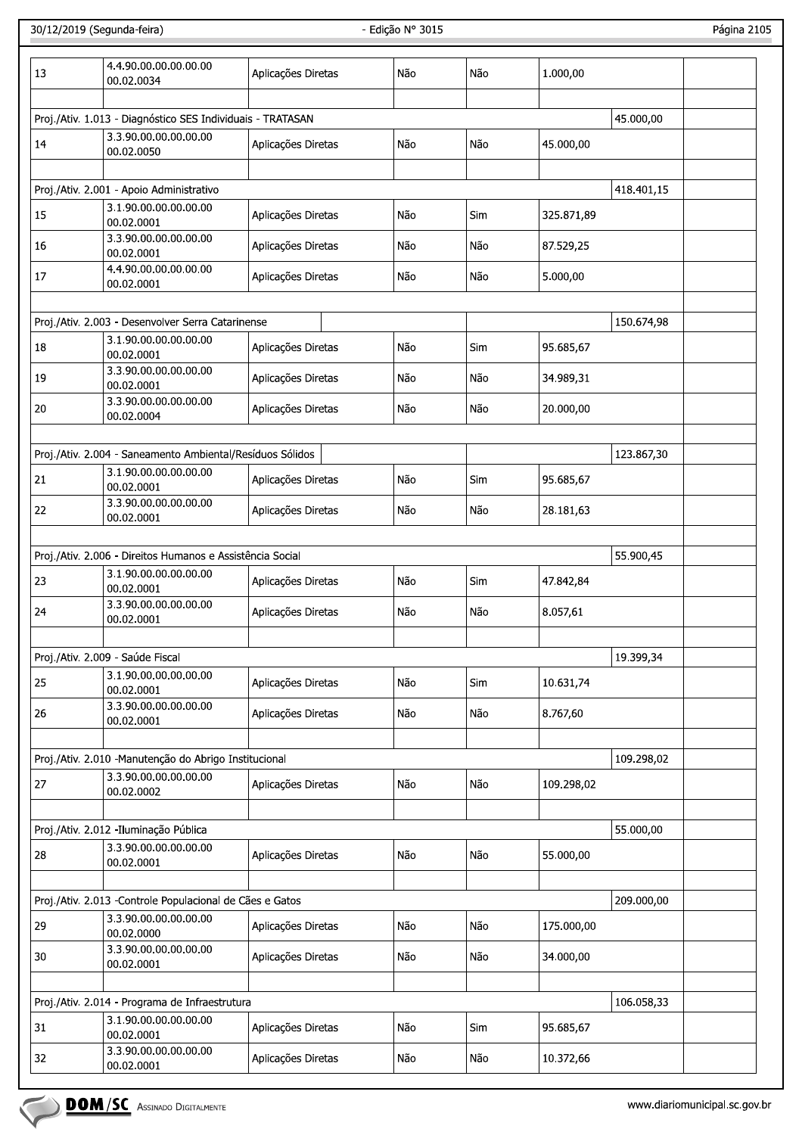| 13 | 4.4.90.00.00.00.00.00<br>00.02.0034                                                | Aplicações Diretas | Não | Não | 1.000,00   |            |  |
|----|------------------------------------------------------------------------------------|--------------------|-----|-----|------------|------------|--|
|    |                                                                                    |                    |     |     |            |            |  |
|    | Proj./Ativ. 1.013 - Diagnóstico SES Individuais - TRATASAN                         |                    |     |     |            | 45.000,00  |  |
| 14 | 3.3.90.00.00.00.00.00<br>00.02.0050                                                | Aplicações Diretas | Não | Não | 45.000,00  |            |  |
|    |                                                                                    |                    |     |     |            |            |  |
|    | Proj./Ativ. 2.001 - Apoio Administrativo                                           |                    |     |     |            | 418.401,15 |  |
| 15 | 3.1.90.00.00.00.00.00<br>00.02.0001                                                | Aplicações Diretas | Não | Sim | 325.871,89 |            |  |
| 16 | 3.3.90.00.00.00.00.00<br>00.02.0001                                                | Aplicações Diretas | Não | Não | 87.529,25  |            |  |
| 17 | 4.4.90.00.00.00.00.00<br>00.02.0001                                                | Aplicações Diretas | Não | Não | 5.000,00   |            |  |
|    | Proj./Ativ. 2.003 - Desenvolver Serra Catarinense                                  |                    |     |     |            | 150.674,98 |  |
|    | 3.1.90.00.00.00.00.00                                                              |                    |     |     |            |            |  |
| 18 | 00.02.0001<br>3.3.90.00.00.00.00.00                                                | Aplicações Diretas | Não | Sim | 95.685,67  |            |  |
| 19 | 00.02.0001<br>3.3.90.00.00.00.00.00                                                | Aplicações Diretas | Não | Não | 34.989,31  |            |  |
| 20 | 00.02.0004                                                                         | Aplicações Diretas | Não | Não | 20.000,00  |            |  |
|    |                                                                                    |                    |     |     |            |            |  |
| 21 | Proj./Ativ. 2.004 - Saneamento Ambiental/Resíduos Sólidos<br>3.1.90.00.00.00.00.00 | Aplicações Diretas | Não | Sim | 95.685,67  | 123.867,30 |  |
| 22 | 00.02.0001<br>3.3.90.00.00.00.00.00                                                | Aplicações Diretas | Não | Não | 28.181,63  |            |  |
|    | 00.02.0001                                                                         |                    |     |     |            |            |  |
|    | Proj./Ativ. 2.006 - Direitos Humanos e Assistência Social                          |                    |     |     |            |            |  |
|    | 3.1.90.00.00.00.00.00                                                              |                    |     |     |            | 55.900,45  |  |
| 23 | 00.02.0001<br>3.3.90.00.00.00.00.00                                                | Aplicações Diretas | Não | Sim | 47.842,84  |            |  |
| 24 | 00.02.0001                                                                         | Aplicações Diretas | Não | Não | 8.057,61   |            |  |
|    |                                                                                    |                    |     |     |            |            |  |
|    | Proj./Ativ. 2.009 - Saúde Fiscal                                                   |                    |     |     |            | 19.399,34  |  |
| 25 | 3.1.90.00.00.00.00.00<br>00.02.0001                                                | Aplicações Diretas | Não | Sim | 10.631,74  |            |  |
| 26 | 3.3.90.00.00.00.00.00<br>00.02.0001                                                | Aplicações Diretas | Não | Não | 8.767,60   |            |  |
|    |                                                                                    |                    |     |     |            |            |  |
|    | Proj./Ativ. 2.010 -Manutenção do Abrigo Institucional<br>3.3.90.00.00.00.00.00     |                    |     |     |            | 109.298,02 |  |
| 27 | 00.02.0002                                                                         | Aplicações Diretas | Não | Não | 109.298,02 |            |  |
|    | Proj./Ativ. 2.012 -Iluminação Pública                                              |                    |     |     |            | 55.000,00  |  |
| 28 | 3.3.90.00.00.00.00.00<br>00.02.0001                                                | Aplicações Diretas | Não | Não | 55.000,00  |            |  |
|    |                                                                                    |                    |     |     |            |            |  |
|    | Proj./Ativ. 2.013 - Controle Populacional de Cães e Gatos                          |                    |     |     |            | 209.000,00 |  |
| 29 | 3.3.90.00.00.00.00.00<br>00.02.0000                                                | Aplicações Diretas | Não | Não | 175.000,00 |            |  |
| 30 | 3.3.90.00.00.00.00.00<br>00.02.0001                                                | Aplicações Diretas | Não | Não | 34.000,00  |            |  |
|    |                                                                                    |                    |     |     |            |            |  |
|    | Proj./Ativ. 2.014 - Programa de Infraestrutura                                     |                    |     |     |            | 106.058,33 |  |
| 31 | 3.1.90.00.00.00.00.00<br>00.02.0001                                                | Aplicações Diretas | Não | Sim | 95.685,67  |            |  |
| 32 | 3.3.90.00.00.00.00.00<br>00.02.0001                                                | Aplicações Diretas | Não | Não | 10.372,66  |            |  |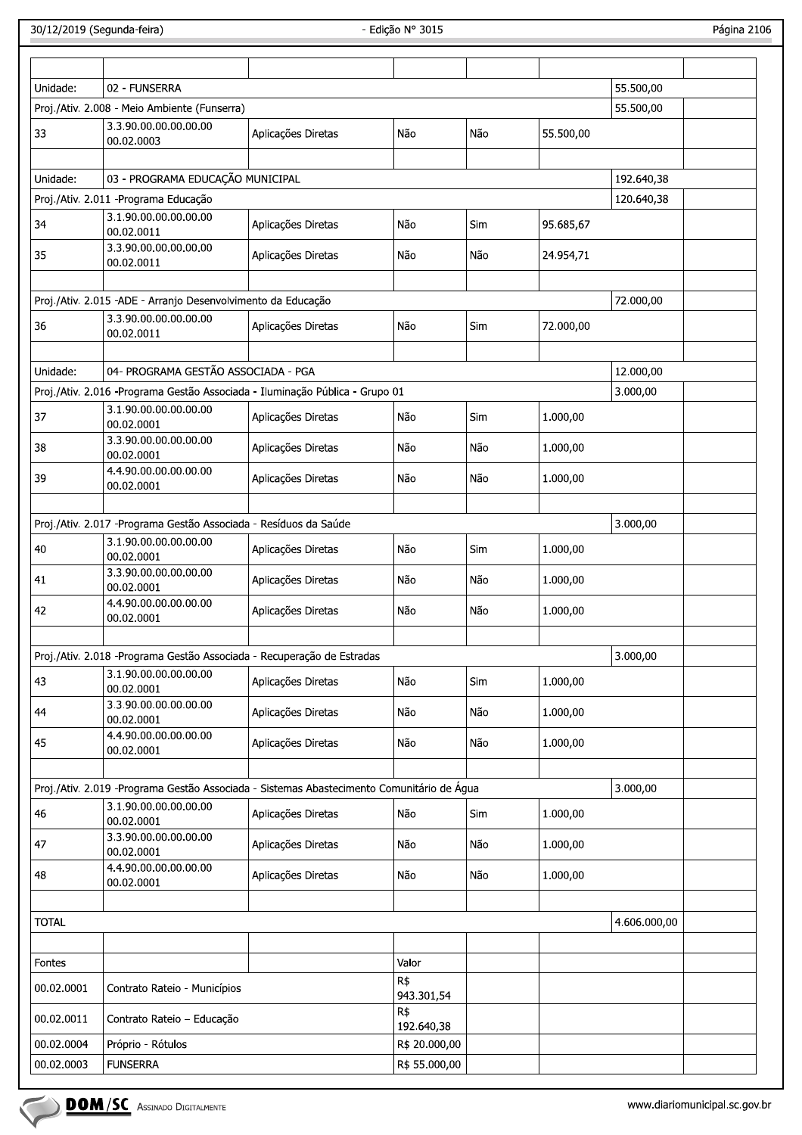Página 2106

| Unidade:     | 02 - FUNSERRA                                                                              |                                                                                           |                    |            |           | 55.500,00    |  |
|--------------|--------------------------------------------------------------------------------------------|-------------------------------------------------------------------------------------------|--------------------|------------|-----------|--------------|--|
|              | Proj./Ativ. 2.008 - Meio Ambiente (Funserra)                                               |                                                                                           |                    |            |           | 55.500,00    |  |
| 33           | 3.3.90.00.00.00.00.00<br>00.02.0003                                                        | Aplicações Diretas                                                                        | Não                | Não        | 55.500,00 |              |  |
| Unidade:     | 03 - PROGRAMA EDUCAÇÃO MUNICIPAL                                                           |                                                                                           |                    |            |           | 192.640,38   |  |
|              | Proj./Ativ. 2.011 - Programa Educação                                                      |                                                                                           |                    |            |           | 120.640,38   |  |
| 34           | 3.1.90.00.00.00.00.00                                                                      | Aplicações Diretas                                                                        | Não                | <b>Sim</b> | 95.685,67 |              |  |
|              | 00.02.0011<br>3.3.90.00.00.00.00.00                                                        |                                                                                           |                    |            |           |              |  |
| 35           | 00.02.0011                                                                                 | Aplicações Diretas                                                                        | Não                | Não        | 24.954,71 |              |  |
|              | Proj./Ativ. 2.015 -ADE - Arranjo Desenvolvimento da Educação                               |                                                                                           |                    |            |           | 72.000,00    |  |
|              | 3.3.90.00.00.00.00.00                                                                      |                                                                                           |                    |            |           |              |  |
| 36           | 00.02.0011                                                                                 | Aplicações Diretas                                                                        | Não                | Sim        | 72.000,00 |              |  |
| Unidade:     | 04- PROGRAMA GESTÃO ASSOCIADA - PGA                                                        |                                                                                           |                    |            |           | 12.000,00    |  |
|              |                                                                                            | Proj./Ativ. 2.016 - Programa Gestão Associada - Iluminação Pública - Grupo 01             |                    |            |           | 3.000,00     |  |
| 37           | 3.1.90.00.00.00.00.00<br>00.02.0001                                                        | Aplicações Diretas                                                                        | Não                | Sim        | 1.000,00  |              |  |
| 38           | 3.3.90.00.00.00.00.00<br>00.02.0001                                                        | Aplicações Diretas                                                                        | Não                | Não        | 1.000,00  |              |  |
| 39           | 4.4.90.00.00.00.00.00<br>00.02.0001                                                        | Aplicações Diretas                                                                        | Não                | Não        | 1.000,00  |              |  |
|              |                                                                                            |                                                                                           |                    |            |           |              |  |
|              | Proj./Ativ. 2.017 - Programa Gestão Associada - Resíduos da Saúde<br>3.1.90.00.00.00.00.00 |                                                                                           |                    |            |           | 3.000,00     |  |
| 40           | 00.02.0001<br>3.3.90.00.00.00.00.00                                                        | Aplicações Diretas                                                                        | Não                | <b>Sim</b> | 1.000,00  |              |  |
| 41           | 00.02.0001<br>4.4.90.00.00.00.00.00                                                        | Aplicações Diretas                                                                        | Não                | Não        | 1.000,00  |              |  |
| 42           | 00.02.0001                                                                                 | Aplicações Diretas                                                                        | Não                | Não        | 1.000,00  |              |  |
|              |                                                                                            | Proj./Ativ. 2.018 - Programa Gestão Associada - Recuperação de Estradas                   |                    |            |           | 3.000,00     |  |
| 43           | 3.1.90.00.00.00.00.00<br>00.02.0001                                                        | Aplicações Diretas                                                                        | Não                | Sim        | 1.000,00  |              |  |
| 44           | 3.3.90.00.00.00.00.00<br>00.02.0001                                                        | Aplicações Diretas                                                                        | Não                | Não        | 1.000,00  |              |  |
| 45           | 4.4.90.00.00.00.00.00<br>00.02.0001                                                        | Aplicações Diretas                                                                        | Não                | Não        | 1.000,00  |              |  |
|              |                                                                                            |                                                                                           |                    |            |           |              |  |
|              | 3.1.90.00.00.00.00.00                                                                      | Proj./Ativ. 2.019 -Programa Gestão Associada - Sistemas Abastecimento Comunitário de Água |                    |            |           | 3.000,00     |  |
| 46           | 00.02.0001                                                                                 | Aplicações Diretas                                                                        | Não                | Sim        | 1.000,00  |              |  |
| 47           | 3.3.90.00.00.00.00.00<br>00.02.0001                                                        | Aplicações Diretas                                                                        | Não                | Não        | 1.000,00  |              |  |
| 48           | 4.4.90.00.00.00.00.00<br>00.02.0001                                                        | Aplicações Diretas                                                                        | Não                | Não        | 1.000,00  |              |  |
| <b>TOTAL</b> |                                                                                            |                                                                                           |                    |            |           | 4.606.000,00 |  |
|              |                                                                                            |                                                                                           |                    |            |           |              |  |
| Fontes       |                                                                                            |                                                                                           | Valor              |            |           |              |  |
| 00.02.0001   | Contrato Rateio - Municípios                                                               |                                                                                           | $R\$<br>943.301,54 |            |           |              |  |
| 00.02.0011   | Contrato Rateio - Educação                                                                 |                                                                                           | R\$<br>192.640,38  |            |           |              |  |
| 00.02.0004   | Próprio - Rótulos                                                                          |                                                                                           | R\$ 20.000,00      |            |           |              |  |
| 00.02.0003   | <b>FUNSERRA</b>                                                                            |                                                                                           | R\$ 55.000,00      |            |           |              |  |